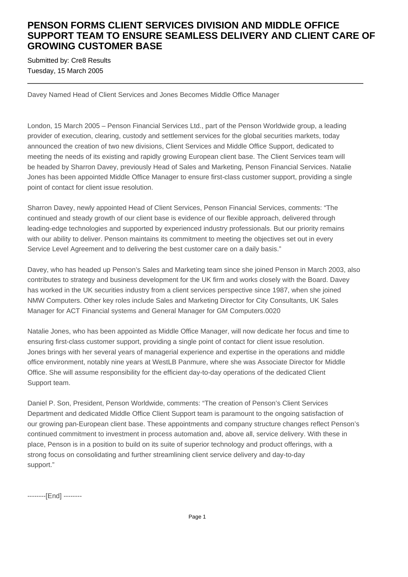## **PENSON FORMS CLIENT SERVICES DIVISION AND MIDDLE OFFICE SUPPORT TEAM TO ENSURE SEAMLESS DELIVERY AND CLIENT CARE OF GROWING CUSTOMER BASE**

Submitted by: Cre8 Results Tuesday, 15 March 2005

Davey Named Head of Client Services and Jones Becomes Middle Office Manager

London, 15 March 2005 – Penson Financial Services Ltd., part of the Penson Worldwide group, a leading provider of execution, clearing, custody and settlement services for the global securities markets, today announced the creation of two new divisions, Client Services and Middle Office Support, dedicated to meeting the needs of its existing and rapidly growing European client base. The Client Services team will be headed by Sharron Davey, previously Head of Sales and Marketing, Penson Financial Services. Natalie Jones has been appointed Middle Office Manager to ensure first-class customer support, providing a single point of contact for client issue resolution.

Sharron Davey, newly appointed Head of Client Services, Penson Financial Services, comments: "The continued and steady growth of our client base is evidence of our flexible approach, delivered through leading-edge technologies and supported by experienced industry professionals. But our priority remains with our ability to deliver. Penson maintains its commitment to meeting the objectives set out in every Service Level Agreement and to delivering the best customer care on a daily basis."

Davey, who has headed up Penson's Sales and Marketing team since she joined Penson in March 2003, also contributes to strategy and business development for the UK firm and works closely with the Board. Davey has worked in the UK securities industry from a client services perspective since 1987, when she joined NMW Computers. Other key roles include Sales and Marketing Director for City Consultants, UK Sales Manager for ACT Financial systems and General Manager for GM Computers.0020

Natalie Jones, who has been appointed as Middle Office Manager, will now dedicate her focus and time to ensuring first-class customer support, providing a single point of contact for client issue resolution. Jones brings with her several years of managerial experience and expertise in the operations and middle office environment, notably nine years at WestLB Panmure, where she was Associate Director for Middle Office. She will assume responsibility for the efficient day-to-day operations of the dedicated Client Support team.

Daniel P. Son, President, Penson Worldwide, comments: "The creation of Penson's Client Services Department and dedicated Middle Office Client Support team is paramount to the ongoing satisfaction of our growing pan-European client base. These appointments and company structure changes reflect Penson's continued commitment to investment in process automation and, above all, service delivery. With these in place, Penson is in a position to build on its suite of superior technology and product offerings, with a strong focus on consolidating and further streamlining client service delivery and day-to-day support."

--------[End] --------